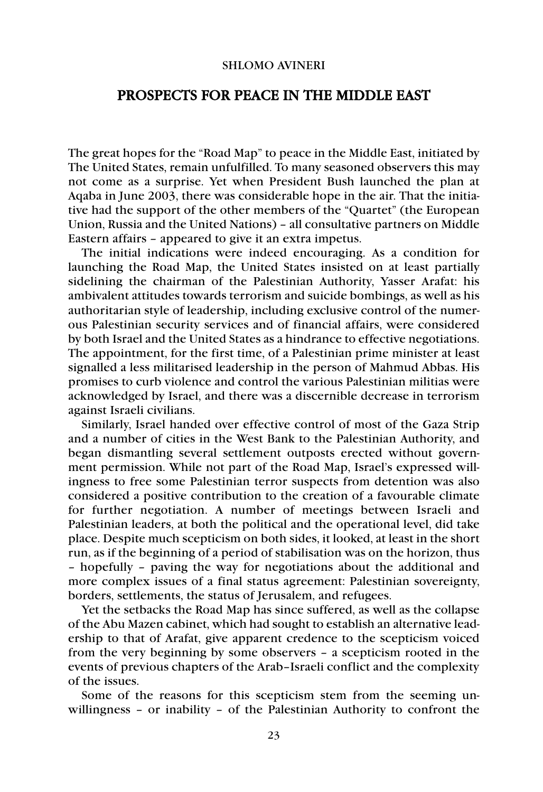## SHLOMO AVINERI

## PROSPECTS FOR PEACE IN THE MIDDLE EAST

The great hopes for the "Road Map" to peace in the Middle East, initiated by The United States, remain unfulfilled. To many seasoned observers this may not come as a surprise. Yet when President Bush launched the plan at Aqaba in June 2003, there was considerable hope in the air. That the initiative had the support of the other members of the "Quartet" (the European Union, Russia and the United Nations) – all consultative partners on Middle Eastern affairs – appeared to give it an extra impetus.

The initial indications were indeed encouraging. As a condition for launching the Road Map, the United States insisted on at least partially sidelining the chairman of the Palestinian Authority, Yasser Arafat: his ambivalent attitudes towards terrorism and suicide bombings, as well as his authoritarian style of leadership, including exclusive control of the numerous Palestinian security services and of financial affairs, were considered by both Israel and the United States as a hindrance to effective negotiations. The appointment, for the first time, of a Palestinian prime minister at least signalled a less militarised leadership in the person of Mahmud Abbas. His promises to curb violence and control the various Palestinian militias were acknowledged by Israel, and there was a discernible decrease in terrorism against Israeli civilians.

Similarly, Israel handed over effective control of most of the Gaza Strip and a number of cities in the West Bank to the Palestinian Authority, and began dismantling several settlement outposts erected without government permission. While not part of the Road Map, Israel's expressed willingness to free some Palestinian terror suspects from detention was also considered a positive contribution to the creation of a favourable climate for further negotiation. A number of meetings between Israeli and Palestinian leaders, at both the political and the operational level, did take place. Despite much scepticism on both sides, it looked, at least in the short run, as if the beginning of a period of stabilisation was on the horizon, thus – hopefully – paving the way for negotiations about the additional and more complex issues of a final status agreement: Palestinian sovereignty, borders, settlements, the status of Jerusalem, and refugees.

Yet the setbacks the Road Map has since suffered, as well as the collapse of the Abu Mazen cabinet, which had sought to establish an alternative leadership to that of Arafat, give apparent credence to the scepticism voiced from the very beginning by some observers – a scepticism rooted in the events of previous chapters of the Arab–Israeli conflict and the complexity of the issues.

Some of the reasons for this scepticism stem from the seeming unwillingness – or inability – of the Palestinian Authority to confront the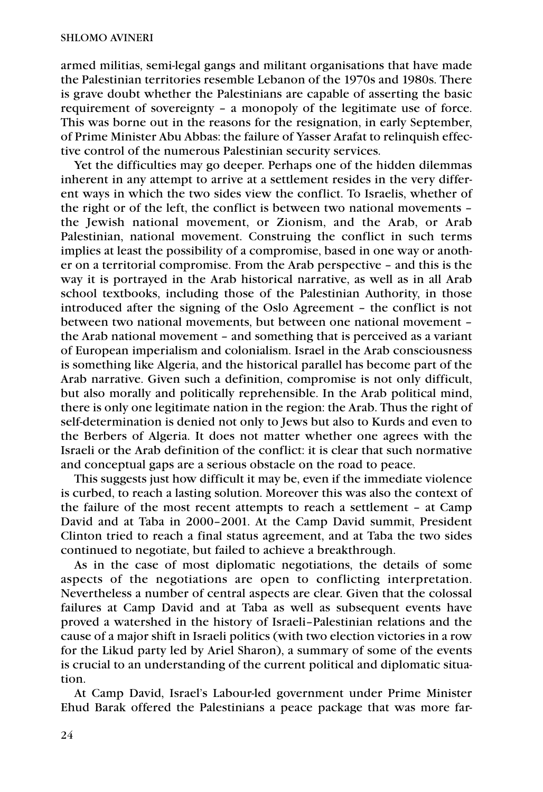armed militias, semi-legal gangs and militant organisations that have made the Palestinian territories resemble Lebanon of the 1970s and 1980s. There is grave doubt whether the Palestinians are capable of asserting the basic requirement of sovereignty – a monopoly of the legitimate use of force. This was borne out in the reasons for the resignation, in early September, of Prime Minister Abu Abbas: the failure of Yasser Arafat to relinquish effective control of the numerous Palestinian security services.

Yet the difficulties may go deeper. Perhaps one of the hidden dilemmas inherent in any attempt to arrive at a settlement resides in the very different ways in which the two sides view the conflict. To Israelis, whether of the right or of the left, the conflict is between two national movements – the Jewish national movement, or Zionism, and the Arab, or Arab Palestinian, national movement. Construing the conflict in such terms implies at least the possibility of a compromise, based in one way or another on a territorial compromise. From the Arab perspective – and this is the way it is portrayed in the Arab historical narrative, as well as in all Arab school textbooks, including those of the Palestinian Authority, in those introduced after the signing of the Oslo Agreement – the conflict is not between two national movements, but between one national movement – the Arab national movement – and something that is perceived as a variant of European imperialism and colonialism. Israel in the Arab consciousness is something like Algeria, and the historical parallel has become part of the Arab narrative. Given such a definition, compromise is not only difficult, but also morally and politically reprehensible. In the Arab political mind, there is only one legitimate nation in the region: the Arab. Thus the right of self-determination is denied not only to Jews but also to Kurds and even to the Berbers of Algeria. It does not matter whether one agrees with the Israeli or the Arab definition of the conflict: it is clear that such normative and conceptual gaps are a serious obstacle on the road to peace.

This suggests just how difficult it may be, even if the immediate violence is curbed, to reach a lasting solution. Moreover this was also the context of the failure of the most recent attempts to reach a settlement – at Camp David and at Taba in 2000–2001. At the Camp David summit, President Clinton tried to reach a final status agreement, and at Taba the two sides continued to negotiate, but failed to achieve a breakthrough.

As in the case of most diplomatic negotiations, the details of some aspects of the negotiations are open to conflicting interpretation. Nevertheless a number of central aspects are clear. Given that the colossal failures at Camp David and at Taba as well as subsequent events have proved a watershed in the history of Israeli–Palestinian relations and the cause of a major shift in Israeli politics (with two election victories in a row for the Likud party led by Ariel Sharon), a summary of some of the events is crucial to an understanding of the current political and diplomatic situation.

At Camp David, Israel's Labour-led government under Prime Minister Ehud Barak offered the Palestinians a peace package that was more far-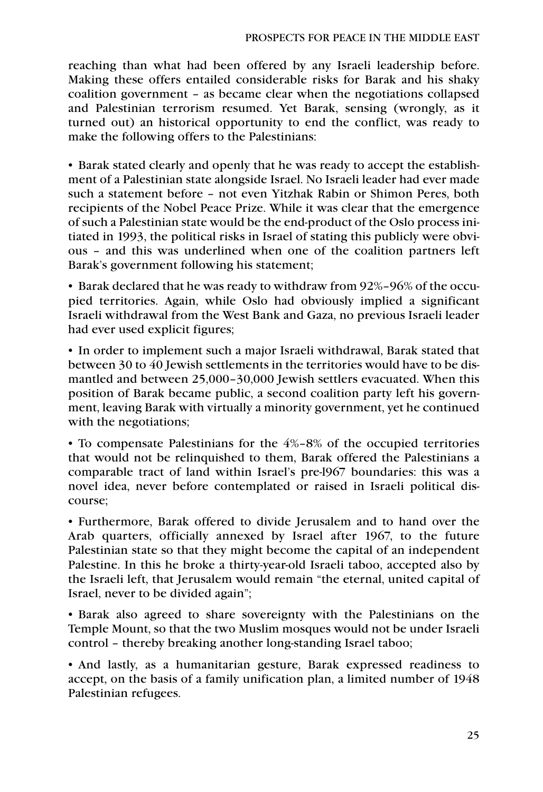reaching than what had been offered by any Israeli leadership before. Making these offers entailed considerable risks for Barak and his shaky coalition government – as became clear when the negotiations collapsed and Palestinian terrorism resumed. Yet Barak, sensing (wrongly, as it turned out) an historical opportunity to end the conflict, was ready to make the following offers to the Palestinians:

• Barak stated clearly and openly that he was ready to accept the establishment of a Palestinian state alongside Israel. No Israeli leader had ever made such a statement before – not even Yitzhak Rabin or Shimon Peres, both recipients of the Nobel Peace Prize. While it was clear that the emergence of such a Palestinian state would be the end-product of the Oslo process initiated in 1993, the political risks in Israel of stating this publicly were obvious – and this was underlined when one of the coalition partners left Barak's government following his statement;

• Barak declared that he was ready to withdraw from 92%–96% of the occupied territories. Again, while Oslo had obviously implied a significant Israeli withdrawal from the West Bank and Gaza, no previous Israeli leader had ever used explicit figures;

• In order to implement such a major Israeli withdrawal, Barak stated that between 30 to 40 Jewish settlements in the territories would have to be dismantled and between 25,000–30,000 Jewish settlers evacuated. When this position of Barak became public, a second coalition party left his government, leaving Barak with virtually a minority government, yet he continued with the negotiations;

• To compensate Palestinians for the 4%–8% of the occupied territories that would not be relinquished to them, Barak offered the Palestinians a comparable tract of land within Israel's pre-l967 boundaries: this was a novel idea, never before contemplated or raised in Israeli political discourse;

• Furthermore, Barak offered to divide Jerusalem and to hand over the Arab quarters, officially annexed by Israel after 1967, to the future Palestinian state so that they might become the capital of an independent Palestine. In this he broke a thirty-year-old Israeli taboo, accepted also by the Israeli left, that Jerusalem would remain "the eternal, united capital of Israel, never to be divided again";

• Barak also agreed to share sovereignty with the Palestinians on the Temple Mount, so that the two Muslim mosques would not be under Israeli control – thereby breaking another long-standing Israel taboo;

• And lastly, as a humanitarian gesture, Barak expressed readiness to accept, on the basis of a family unification plan, a limited number of 1948 Palestinian refugees.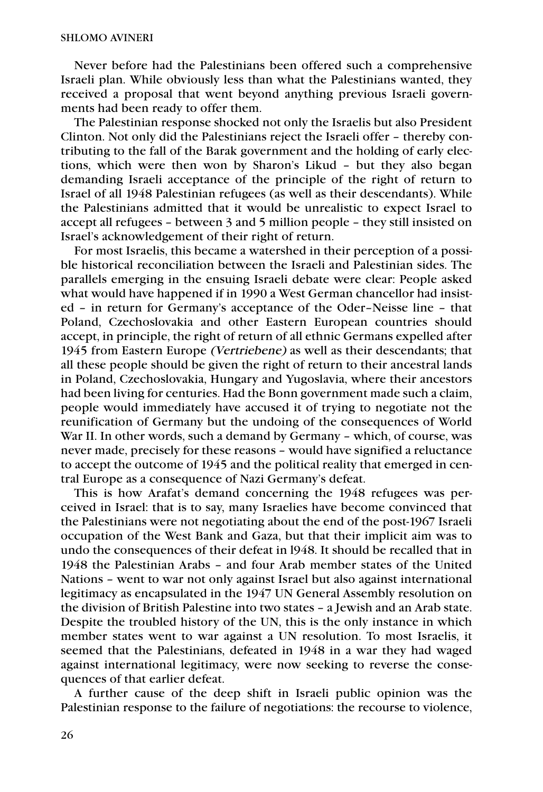Never before had the Palestinians been offered such a comprehensive Israeli plan. While obviously less than what the Palestinians wanted, they received a proposal that went beyond anything previous Israeli governments had been ready to offer them.

The Palestinian response shocked not only the Israelis but also President Clinton. Not only did the Palestinians reject the Israeli offer – thereby contributing to the fall of the Barak government and the holding of early elections, which were then won by Sharon's Likud – but they also began demanding Israeli acceptance of the principle of the right of return to Israel of all 1948 Palestinian refugees (as well as their descendants). While the Palestinians admitted that it would be unrealistic to expect Israel to accept all refugees – between 3 and 5 million people – they still insisted on Israel's acknowledgement of their right of return.

For most Israelis, this became a watershed in their perception of a possible historical reconciliation between the Israeli and Palestinian sides. The parallels emerging in the ensuing Israeli debate were clear: People asked what would have happened if in 1990 a West German chancellor had insisted – in return for Germany's acceptance of the Oder–Neisse line – that Poland, Czechoslovakia and other Eastern European countries should accept, in principle, the right of return of all ethnic Germans expelled after 1945 from Eastern Europe (Vertriebene) as well as their descendants; that all these people should be given the right of return to their ancestral lands in Poland, Czechoslovakia, Hungary and Yugoslavia, where their ancestors had been living for centuries. Had the Bonn government made such a claim, people would immediately have accused it of trying to negotiate not the reunification of Germany but the undoing of the consequences of World War II. In other words, such a demand by Germany – which, of course, was never made, precisely for these reasons – would have signified a reluctance to accept the outcome of 1945 and the political reality that emerged in central Europe as a consequence of Nazi Germany's defeat.

This is how Arafat's demand concerning the 1948 refugees was perceived in Israel: that is to say, many Israelies have become convinced that the Palestinians were not negotiating about the end of the post-1967 Israeli occupation of the West Bank and Gaza, but that their implicit aim was to undo the consequences of their defeat in l948. It should be recalled that in 1948 the Palestinian Arabs – and four Arab member states of the United Nations – went to war not only against Israel but also against international legitimacy as encapsulated in the 1947 UN General Assembly resolution on the division of British Palestine into two states – a Jewish and an Arab state. Despite the troubled history of the UN, this is the only instance in which member states went to war against a UN resolution. To most Israelis, it seemed that the Palestinians, defeated in 1948 in a war they had waged against international legitimacy, were now seeking to reverse the consequences of that earlier defeat.

A further cause of the deep shift in Israeli public opinion was the Palestinian response to the failure of negotiations: the recourse to violence,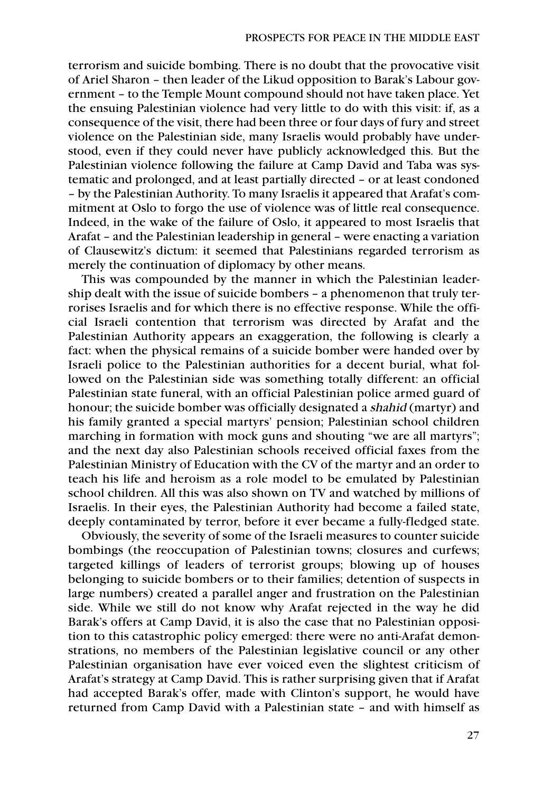terrorism and suicide bombing. There is no doubt that the provocative visit of Ariel Sharon – then leader of the Likud opposition to Barak's Labour government – to the Temple Mount compound should not have taken place. Yet the ensuing Palestinian violence had very little to do with this visit: if, as a consequence of the visit, there had been three or four days of fury and street violence on the Palestinian side, many Israelis would probably have understood, even if they could never have publicly acknowledged this. But the Palestinian violence following the failure at Camp David and Taba was systematic and prolonged, and at least partially directed – or at least condoned – by the Palestinian Authority. To many Israelis it appeared that Arafat's commitment at Oslo to forgo the use of violence was of little real consequence. Indeed, in the wake of the failure of Oslo, it appeared to most Israelis that Arafat – and the Palestinian leadership in general – were enacting a variation of Clausewitz's dictum: it seemed that Palestinians regarded terrorism as merely the continuation of diplomacy by other means.

This was compounded by the manner in which the Palestinian leadership dealt with the issue of suicide bombers – a phenomenon that truly terrorises Israelis and for which there is no effective response. While the official Israeli contention that terrorism was directed by Arafat and the Palestinian Authority appears an exaggeration, the following is clearly a fact: when the physical remains of a suicide bomber were handed over by Israeli police to the Palestinian authorities for a decent burial, what followed on the Palestinian side was something totally different: an official Palestinian state funeral, with an official Palestinian police armed guard of honour; the suicide bomber was officially designated a shahid (martyr) and his family granted a special martyrs' pension; Palestinian school children marching in formation with mock guns and shouting "we are all martyrs"; and the next day also Palestinian schools received official faxes from the Palestinian Ministry of Education with the CV of the martyr and an order to teach his life and heroism as a role model to be emulated by Palestinian school children. All this was also shown on TV and watched by millions of Israelis. In their eyes, the Palestinian Authority had become a failed state, deeply contaminated by terror, before it ever became a fully-fledged state.

Obviously, the severity of some of the Israeli measures to counter suicide bombings (the reoccupation of Palestinian towns; closures and curfews; targeted killings of leaders of terrorist groups; blowing up of houses belonging to suicide bombers or to their families; detention of suspects in large numbers) created a parallel anger and frustration on the Palestinian side. While we still do not know why Arafat rejected in the way he did Barak's offers at Camp David, it is also the case that no Palestinian opposition to this catastrophic policy emerged: there were no anti-Arafat demonstrations, no members of the Palestinian legislative council or any other Palestinian organisation have ever voiced even the slightest criticism of Arafat's strategy at Camp David. This is rather surprising given that if Arafat had accepted Barak's offer, made with Clinton's support, he would have returned from Camp David with a Palestinian state – and with himself as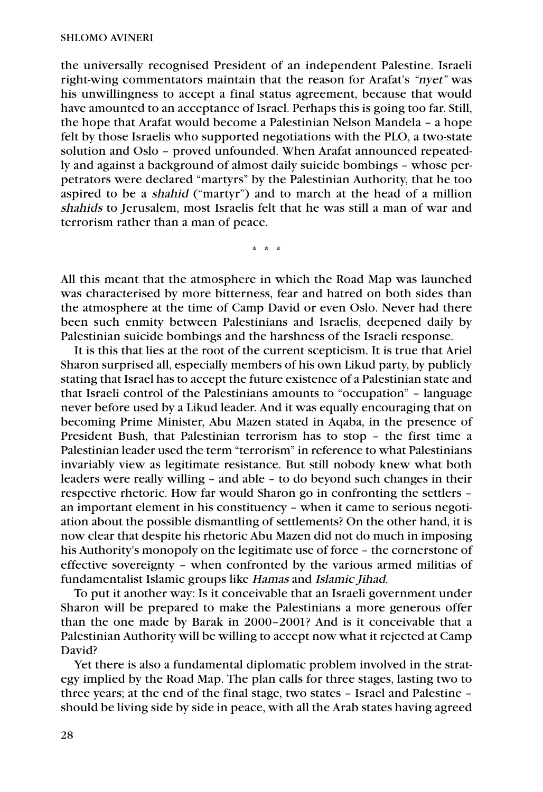the universally recognised President of an independent Palestine. Israeli right-wing commentators maintain that the reason for Arafat's "nyet" was his unwillingness to accept a final status agreement, because that would have amounted to an acceptance of Israel. Perhaps this is going too far. Still, the hope that Arafat would become a Palestinian Nelson Mandela – a hope felt by those Israelis who supported negotiations with the PLO, a two-state solution and Oslo – proved unfounded. When Arafat announced repeatedly and against a background of almost daily suicide bombings – whose perpetrators were declared "martyrs" by the Palestinian Authority, that he too aspired to be a shahid ("martyr") and to march at the head of a million shahids to Jerusalem, most Israelis felt that he was still a man of war and terrorism rather than a man of peace.

\*\*\*

All this meant that the atmosphere in which the Road Map was launched was characterised by more bitterness, fear and hatred on both sides than the atmosphere at the time of Camp David or even Oslo. Never had there been such enmity between Palestinians and Israelis, deepened daily by Palestinian suicide bombings and the harshness of the Israeli response.

It is this that lies at the root of the current scepticism. It is true that Ariel Sharon surprised all, especially members of his own Likud party, by publicly stating that Israel has to accept the future existence of a Palestinian state and that Israeli control of the Palestinians amounts to "occupation" – language never before used by a Likud leader. And it was equally encouraging that on becoming Prime Minister, Abu Mazen stated in Aqaba, in the presence of President Bush, that Palestinian terrorism has to stop – the first time a Palestinian leader used the term "terrorism" in reference to what Palestinians invariably view as legitimate resistance. But still nobody knew what both leaders were really willing – and able – to do beyond such changes in their respective rhetoric. How far would Sharon go in confronting the settlers – an important element in his constituency – when it came to serious negotiation about the possible dismantling of settlements? On the other hand, it is now clear that despite his rhetoric Abu Mazen did not do much in imposing his Authority's monopoly on the legitimate use of force – the cornerstone of effective sovereignty – when confronted by the various armed militias of fundamentalist Islamic groups like Hamas and Islamic Jihad.

To put it another way: Is it conceivable that an Israeli government under Sharon will be prepared to make the Palestinians a more generous offer than the one made by Barak in 2000–2001? And is it conceivable that a Palestinian Authority will be willing to accept now what it rejected at Camp David?

Yet there is also a fundamental diplomatic problem involved in the strategy implied by the Road Map. The plan calls for three stages, lasting two to three years; at the end of the final stage, two states – Israel and Palestine – should be living side by side in peace, with all the Arab states having agreed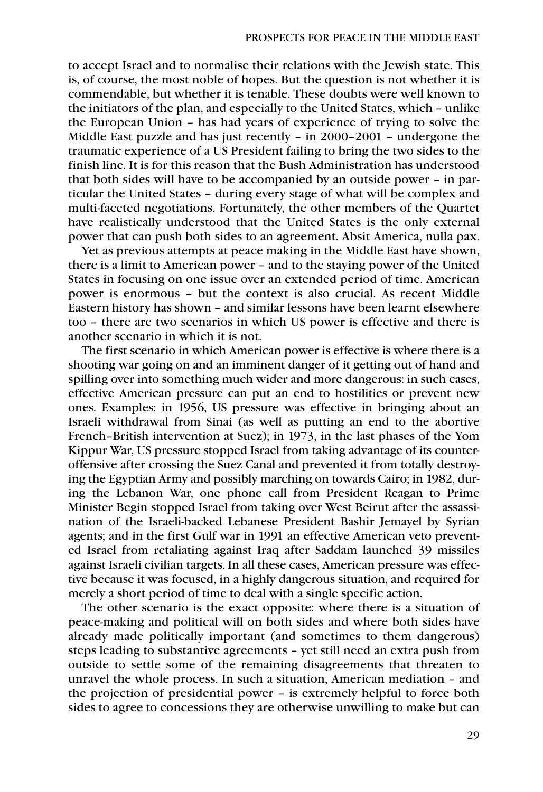to accept Israel and to normalise their relations with the Jewish state. This is, of course, the most noble of hopes. But the question is not whether it is commendable, but whether it is tenable. These doubts were well known to the initiators of the plan, and especially to the United States, which – unlike the European Union – has had years of experience of trying to solve the Middle East puzzle and has just recently – in 2000–2001 – undergone the traumatic experience of a US President failing to bring the two sides to the finish line. It is for this reason that the Bush Administration has understood that both sides will have to be accompanied by an outside power – in particular the United States – during every stage of what will be complex and multi-faceted negotiations. Fortunately, the other members of the Quartet have realistically understood that the United States is the only external power that can push both sides to an agreement. Absit America, nulla pax.

Yet as previous attempts at peace making in the Middle East have shown, there is a limit to American power – and to the staying power of the United States in focusing on one issue over an extended period of time. American power is enormous – but the context is also crucial. As recent Middle Eastern history has shown – and similar lessons have been learnt elsewhere too – there are two scenarios in which US power is effective and there is another scenario in which it is not.

The first scenario in which American power is effective is where there is a shooting war going on and an imminent danger of it getting out of hand and spilling over into something much wider and more dangerous: in such cases, effective American pressure can put an end to hostilities or prevent new ones. Examples: in 1956, US pressure was effective in bringing about an Israeli withdrawal from Sinai (as well as putting an end to the abortive French–British intervention at Suez); in 1973, in the last phases of the Yom Kippur War, US pressure stopped Israel from taking advantage of its counteroffensive after crossing the Suez Canal and prevented it from totally destroying the Egyptian Army and possibly marching on towards Cairo; in 1982, during the Lebanon War, one phone call from President Reagan to Prime Minister Begin stopped Israel from taking over West Beirut after the assassination of the Israeli-backed Lebanese President Bashir Jemayel by Syrian agents; and in the first Gulf war in 1991 an effective American veto prevented Israel from retaliating against Iraq after Saddam launched 39 missiles against Israeli civilian targets. In all these cases, American pressure was effective because it was focused, in a highly dangerous situation, and required for merely a short period of time to deal with a single specific action.

The other scenario is the exact opposite: where there is a situation of peace-making and political will on both sides and where both sides have already made politically important (and sometimes to them dangerous) steps leading to substantive agreements – yet still need an extra push from outside to settle some of the remaining disagreements that threaten to unravel the whole process. In such a situation, American mediation – and the projection of presidential power – is extremely helpful to force both sides to agree to concessions they are otherwise unwilling to make but can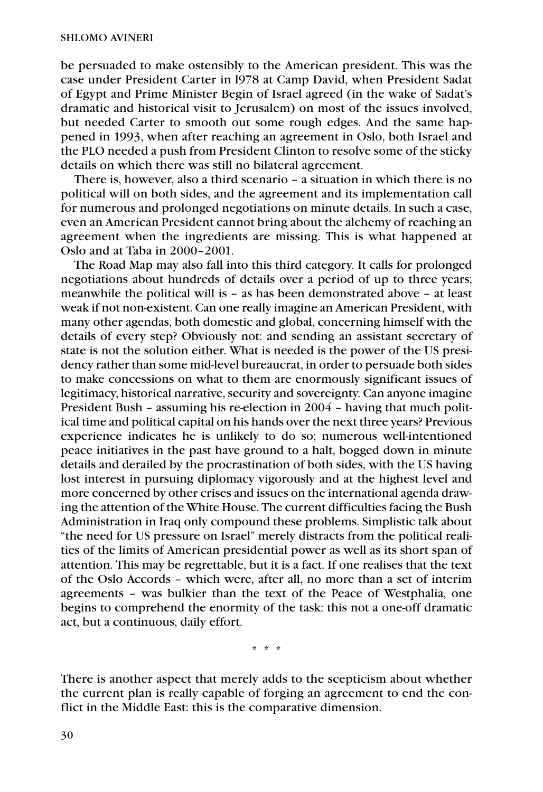be persuaded to make ostensibly to the American president. This was the case under President Carter in l978 at Camp David, when President Sadat of Egypt and Prime Minister Begin of Israel agreed (in the wake of Sadat's dramatic and historical visit to Jerusalem) on most of the issues involved, but needed Carter to smooth out some rough edges. And the same happened in 1993, when after reaching an agreement in Oslo, both Israel and the PLO needed a push from President Clinton to resolve some of the sticky details on which there was still no bilateral agreement.

There is, however, also a third scenario – a situation in which there is no political will on both sides, and the agreement and its implementation call for numerous and prolonged negotiations on minute details. In such a case, even an American President cannot bring about the alchemy of reaching an agreement when the ingredients are missing. This is what happened at Oslo and at Taba in 2000–2001.

The Road Map may also fall into this third category. It calls for prolonged negotiations about hundreds of details over a period of up to three years; meanwhile the political will is – as has been demonstrated above – at least weak if not non-existent. Can one really imagine an American President, with many other agendas, both domestic and global, concerning himself with the details of every step? Obviously not: and sending an assistant secretary of state is not the solution either. What is needed is the power of the US presidency rather than some mid-level bureaucrat, in order to persuade both sides to make concessions on what to them are enormously significant issues of legitimacy, historical narrative, security and sovereignty. Can anyone imagine President Bush – assuming his re-election in 2004 – having that much political time and political capital on his hands over the next three years? Previous experience indicates he is unlikely to do so; numerous well-intentioned peace initiatives in the past have ground to a halt, bogged down in minute details and derailed by the procrastination of both sides, with the US having lost interest in pursuing diplomacy vigorously and at the highest level and more concerned by other crises and issues on the international agenda drawing the attention of the White House. The current difficulties facing the Bush Administration in Iraq only compound these problems. Simplistic talk about "the need for US pressure on Israel" merely distracts from the political realities of the limits of American presidential power as well as its short span of attention. This may be regrettable, but it is a fact. If one realises that the text of the Oslo Accords – which were, after all, no more than a set of interim agreements – was bulkier than the text of the Peace of Westphalia, one begins to comprehend the enormity of the task: this not a one-off dramatic act, but a continuous, daily effort.

\*\*\*

There is another aspect that merely adds to the scepticism about whether the current plan is really capable of forging an agreement to end the conflict in the Middle East: this is the comparative dimension.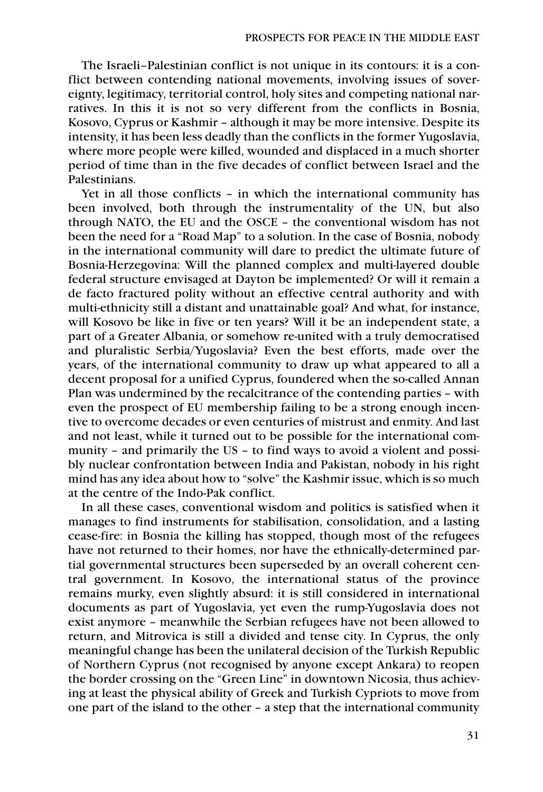The Israeli–Palestinian conflict is not unique in its contours: it is a conflict between contending national movements, involving issues of sovereignty, legitimacy, territorial control, holy sites and competing national narratives. In this it is not so very different from the conflicts in Bosnia, Kosovo, Cyprus or Kashmir – although it may be more intensive. Despite its intensity, it has been less deadly than the conflicts in the former Yugoslavia, where more people were killed, wounded and displaced in a much shorter period of time than in the five decades of conflict between Israel and the Palestinians.

Yet in all those conflicts – in which the international community has been involved, both through the instrumentality of the UN, but also through NATO, the EU and the OSCE – the conventional wisdom has not been the need for a "Road Map" to a solution. In the case of Bosnia, nobody in the international community will dare to predict the ultimate future of Bosnia-Herzegovina: Will the planned complex and multi-layered double federal structure envisaged at Dayton be implemented? Or will it remain a de facto fractured polity without an effective central authority and with multi-ethnicity still a distant and unattainable goal? And what, for instance, will Kosovo be like in five or ten years? Will it be an independent state, a part of a Greater Albania, or somehow re-united with a truly democratised and pluralistic Serbia/Yugoslavia? Even the best efforts, made over the years, of the international community to draw up what appeared to all a decent proposal for a unified Cyprus, foundered when the so-called Annan Plan was undermined by the recalcitrance of the contending parties – with even the prospect of EU membership failing to be a strong enough incentive to overcome decades or even centuries of mistrust and enmity. And last and not least, while it turned out to be possible for the international community – and primarily the US – to find ways to avoid a violent and possibly nuclear confrontation between India and Pakistan, nobody in his right mind has any idea about how to "solve" the Kashmir issue, which is so much at the centre of the Indo-Pak conflict.

In all these cases, conventional wisdom and politics is satisfied when it manages to find instruments for stabilisation, consolidation, and a lasting cease-fire: in Bosnia the killing has stopped, though most of the refugees have not returned to their homes, nor have the ethnically-determined partial governmental structures been superseded by an overall coherent central government. In Kosovo, the international status of the province remains murky, even slightly absurd: it is still considered in international documents as part of Yugoslavia, yet even the rump-Yugoslavia does not exist anymore – meanwhile the Serbian refugees have not been allowed to return, and Mitrovica is still a divided and tense city. In Cyprus, the only meaningful change has been the unilateral decision of the Turkish Republic of Northern Cyprus (not recognised by anyone except Ankara) to reopen the border crossing on the "Green Line" in downtown Nicosia, thus achieving at least the physical ability of Greek and Turkish Cypriots to move from one part of the island to the other – a step that the international community